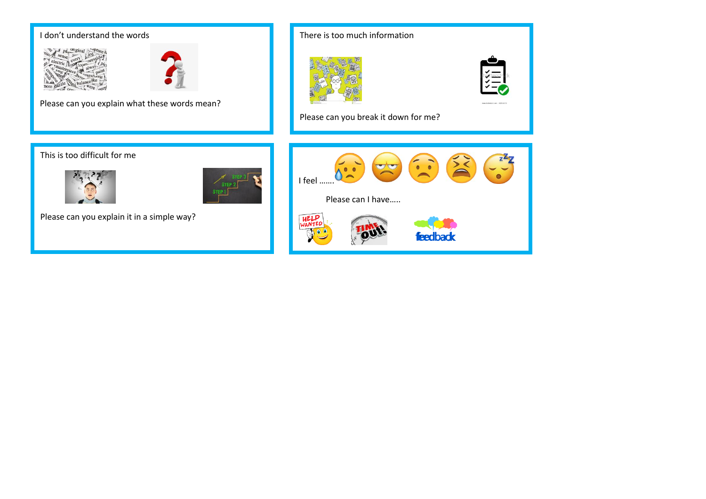